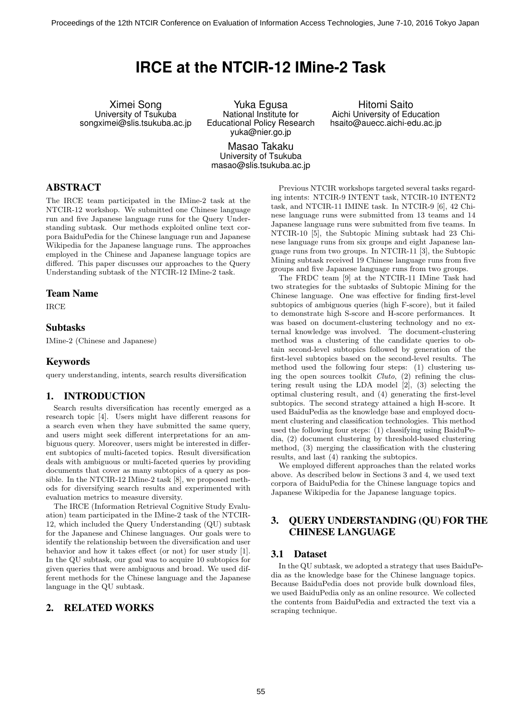# **IRCE at the NTCIR-12 IMine-2 Task**

Ximei Song University of Tsukuba songximei@slis.tsukuba.ac.jp

Yuka Egusa National Institute for Educational Policy Research yuka@nier.go.jp

Masao Takaku University of Tsukuba masao@slis.tsukuba.ac.jp

Hitomi Saito Aichi University of Education hsaito@auecc.aichi-edu.ac.jp

# ABSTRACT

The IRCE team participated in the IMine-2 task at the NTCIR-12 workshop. We submitted one Chinese language run and five Japanese language runs for the Query Understanding subtask. Our methods exploited online text corpora BaiduPedia for the Chinese language run and Japanese Wikipedia for the Japanese language runs. The approaches employed in the Chinese and Japanese language topics are differed. This paper discusses our approaches to the Query Understanding subtask of the NTCIR-12 IMine-2 task.

### Team Name

IRCE

### Subtasks

IMine-2 (Chinese and Japanese)

### Keywords

query understanding, intents, search results diversification

### 1. INTRODUCTION

Search results diversification has recently emerged as a research topic [4]. Users might have different reasons for a search even when they have submitted the same query, and users might seek different interpretations for an ambiguous query. Moreover, users might be interested in different subtopics of multi-faceted topics. Result diversification deals with ambiguous or multi-faceted queries by providing documents that cover as many subtopics of a query as possible. In the NTCIR-12 IMine-2 task [8], we proposed methods for diversifying search results and experimented with evaluation metrics to measure diversity.

The IRCE (Information Retrieval Cognitive Study Evaluation) team participated in the IMine-2 task of the NTCIR-12, which included the Query Understanding (QU) subtask for the Japanese and Chinese languages. Our goals were to identify the relationship between the diversification and user behavior and how it takes effect (or not) for user study [1]. In the QU subtask, our goal was to acquire 10 subtopics for given queries that were ambiguous and broad. We used different methods for the Chinese language and the Japanese language in the QU subtask.

# 2. RELATED WORKS

Previous NTCIR workshops targeted several tasks regarding intents: NTCIR-9 INTENT task, NTCIR-10 INTENT2 task, and NTCIR-11 IMINE task. In NTCIR-9 [6], 42 Chinese language runs were submitted from 13 teams and 14 Japanese language runs were submitted from five teams. In NTCIR-10 [5], the Subtopic Mining subtask had 23 Chinese language runs from six groups and eight Japanese language runs from two groups. In NTCIR-11 [3], the Subtopic Mining subtask received 19 Chinese language runs from five groups and five Japanese language runs from two groups.

The FRDC team [9] at the NTCIR-11 IMine Task had two strategies for the subtasks of Subtopic Mining for the Chinese language. One was effective for finding first-level subtopics of ambiguous queries (high F-score), but it failed to demonstrate high S-score and H-score performances. It was based on document-clustering technology and no external knowledge was involved. The document-clustering method was a clustering of the candidate queries to obtain second-level subtopics followed by generation of the first-level subtopics based on the second-level results. The method used the following four steps: (1) clustering using the open sources toolkit *Cluto*, (2) refining the clustering result using the LDA model [2], (3) selecting the optimal clustering result, and (4) generating the first-level subtopics. The second strategy attained a high H-score. It used BaiduPedia as the knowledge base and employed document clustering and classification technologies. This method used the following four steps: (1) classifying using BaiduPedia, (2) document clustering by threshold-based clustering method, (3) merging the classification with the clustering results, and last (4) ranking the subtopics.

We employed different approaches than the related works above. As described below in Sections 3 and 4, we used text corpora of BaiduPedia for the Chinese language topics and Japanese Wikipedia for the Japanese language topics.

# 3. QUERY UNDERSTANDING (QU) FOR THE CHINESE LANGUAGE

### 3.1 Dataset

In the QU subtask, we adopted a strategy that uses BaiduPedia as the knowledge base for the Chinese language topics. Because BaiduPedia does not provide bulk download files, we used BaiduPedia only as an online resource. We collected the contents from BaiduPedia and extracted the text via a scraping technique.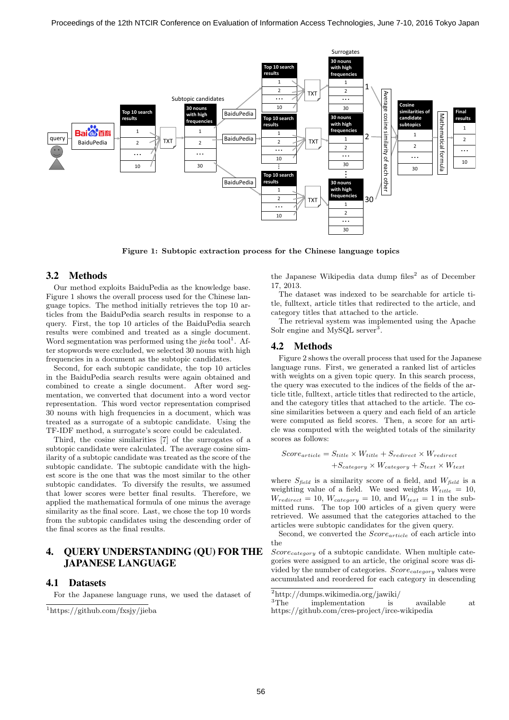

**Figure 1: Subtopic extraction process for the Chinese language topics**

#### 3.2 Methods

Our method exploits BaiduPedia as the knowledge base. Figure 1 shows the overall process used for the Chinese language topics. The method initially retrieves the top 10 articles from the BaiduPedia search results in response to a query. First, the top 10 articles of the BaiduPedia search results were combined and treated as a single document. Word segmentation was performed using the *jieba* tool<sup>1</sup>. After stopwords were excluded, we selected 30 nouns with high frequencies in a document as the subtopic candidates.

Second, for each subtopic candidate, the top 10 articles in the BaiduPedia search results were again obtained and combined to create a single document. After word segmentation, we converted that document into a word vector representation. This word vector representation comprised 30 nouns with high frequencies in a document, which was treated as a surrogate of a subtopic candidate. Using the TF-IDF method, a surrogate's score could be calculated.

Third, the cosine similarities [7] of the surrogates of a subtopic candidate were calculated. The average cosine similarity of a subtopic candidate was treated as the score of the subtopic candidate. The subtopic candidate with the highest score is the one that was the most similar to the other subtopic candidates. To diversify the results, we assumed that lower scores were better final results. Therefore, we applied the mathematical formula of one minus the average similarity as the final score. Last, we chose the top 10 words from the subtopic candidates using the descending order of the final scores as the final results.

# 4. QUERY UNDERSTANDING (QU) FOR THE JAPANESE LANGUAGE

#### 4.1 Datasets

For the Japanese language runs, we used the dataset of

the Japanese Wikipedia data dump files<sup>2</sup> as of December 17, 2013.

The dataset was indexed to be searchable for article title, fulltext, article titles that redirected to the article, and category titles that attached to the article.

The retrieval system was implemented using the Apache Solr engine and MySQL server<sup>3</sup>.

# 4.2 Methods

Figure 2 shows the overall process that used for the Japanese language runs. First, we generated a ranked list of articles with weights on a given topic query. In this search process, the query was executed to the indices of the fields of the article title, fulltext, article titles that redirected to the article, and the category titles that attached to the article. The cosine similarities between a query and each field of an article were computed as field scores. Then, a score for an article was computed with the weighted totals of the similarity scores as follows:

$$
Score_{article} = S_{title} \times W_{title} + S_{redirect} \times W_{redirect}
$$

$$
+ S_{category} \times W_{category} + S_{text} \times W_{text}
$$

where *Sfield* is a similarity score of a field, and *Wfield* is a weighting value of a field. We used weights  $W_{title} = 10$ ,  $W_{redirect} = 10$ ,  $W_{category} = 10$ , and  $W_{text} = 1$  in the submitted runs. The top 100 articles of a given query were retrieved. We assumed that the categories attached to the articles were subtopic candidates for the given query.

Second, we converted the *Scorearticle* of each article into the

*Scorecategory* of a subtopic candidate. When multiple categories were assigned to an article, the original score was divided by the number of categories. *Scorecategory* values were accumulated and reordered for each category in descending

<sup>1</sup>https://github.com/fxsjy/jieba

 $\begin{array}{ll} \rm ^2http://dumps.wikipedia.org/jawiki/\\ \rm ^3The & implementation & is \end{array}$ implementation is available at https://github.com/cres-project/irce-wikipedia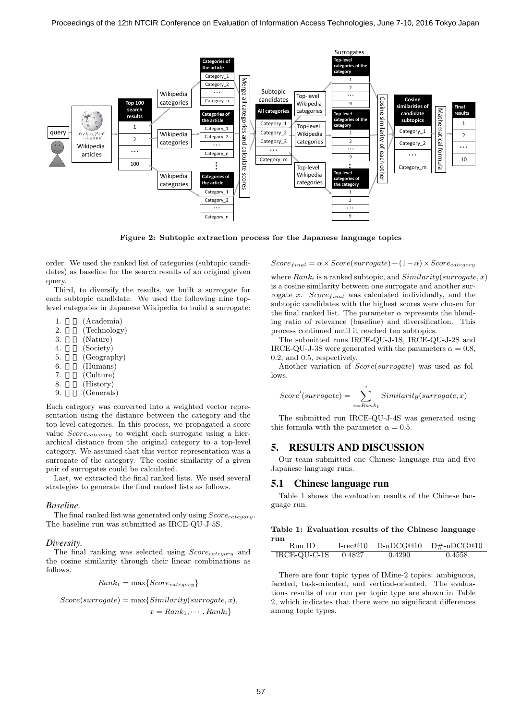

**Figure 2: Subtopic extraction process for the Japanese language topics**

order. We used the ranked list of categories (subtopic candidates) as baseline for the search results of an original given query.

Third, to diversify the results, we built a surrogate for each subtopic candidate. We used the following nine toplevel categories in Japanese Wikipedia to build a surrogate:

|  | (Academia) |
|--|------------|
|--|------------|

- 2. (Technology)
- 3. (Nature)
- 4. (Society)
- 5. (Geography)
- $6.$  (Humans)
- 7. (Culture)
- 8. (History)
- 9. (Generals)

Each category was converted into a weighted vector representation using the distance between the category and the top-level categories. In this process, we propagated a score value *Scorecategory* to weight each surrogate using a hierarchical distance from the original category to a top-level category. We assumed that this vector representation was a surrogate of the category. The cosine similarity of a given pair of surrogates could be calculated.

Last, we extracted the final ranked lists. We used several strategies to generate the final ranked lists as follows.

#### *Baseline.*

The final ranked list was generated only using *Scorecategory*. The baseline run was submitted as IRCE-QU-J-5S.

#### *Diversity.*

The final ranking was selected using *Scorecategory* and the cosine similarity through their linear combinations as follows.

$$
Rank_1 = \max\{Score_{category}\}
$$

$$
Score(surrogate) = \max\{Similarity(surrogate, x),
$$
  

$$
x = Rank_1, \cdots, Rank_i\}
$$

 $Score_{final} = \alpha \times Score(surrence) + (1 - \alpha) \times Score_{category}$ 

where *Rank<sup>i</sup>* is a ranked subtopic, and *Similarity*(*surrogate, x*) is a cosine similarity between one surrogate and another surrogate *x*. *Score*<sub>*final*</sub> was calculated individually, and the subtopic candidates with the highest scores were chosen for the final ranked list. The parameter  $\alpha$  represents the blending ratio of relevance (baseline) and diversification. This process continued until it reached ten subtopics.

The submitted runs IRCE-QU-J-1S, IRCE-QU-J-2S and IRCE-QU-J-3S were generated with the parameters  $\alpha = 0.8$ , 0.2, and 0.5, respectively.

Another variation of *Score*(*surrogate*) was used as follows.

$$
Score'(surrogate) = \sum_{x = Rank_1}^{i} Similarity(surrogate, x)
$$

The submitted run IRCE-QU-J-4S was generated using this formula with the parameter  $\alpha = 0.5$ .

# 5. RESULTS AND DISCUSSION

Our team submitted one Chinese language run and five Japanese language runs.

#### 5.1 Chinese language run

Table 1 shows the evaluation results of the Chinese language run.

#### **Table 1: Evaluation results of the Chinese language run**

| .<br>Run ID. |        |        | $I-rec@10$ $D-nDCG@10$ $D#-nDCG@10$ |
|--------------|--------|--------|-------------------------------------|
| IRCE-QU-C-1S | 0.4827 | 0.4290 | 0.4558                              |

There are four topic types of IMine-2 topics: ambiguous, faceted, task-oriented, and vertical-oriented. The evaluations results of our run per topic type are shown in Table 2, which indicates that there were no significant differences among topic types.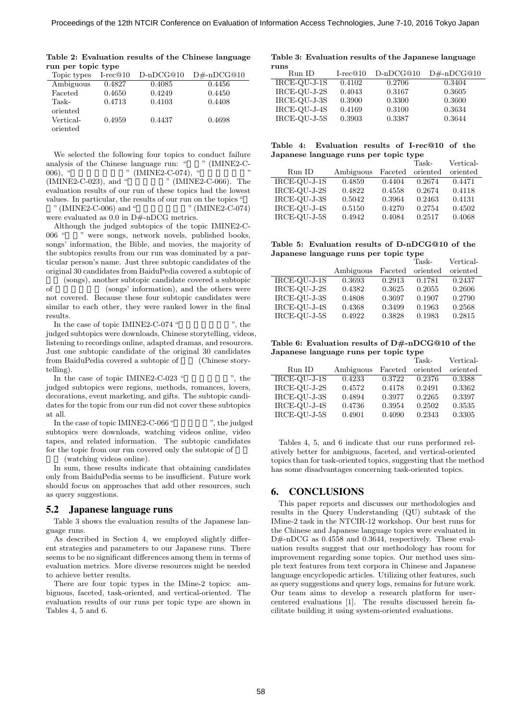**Table 2: Evaluation results of the Chinese language run per topic type**

| Topic types | $I-rec@10$ | $D-nDCG@10$ | $D#-nDCG@10$ |
|-------------|------------|-------------|--------------|
| Ambiguous   | 0.4827     | 0.4085      | 0.4456       |
| Faceted     | 0.4650     | 0.4249      | 0.4450       |
| Task-       | 0.4713     | 0.4103      | 0.4408       |
| oriented    |            |             |              |
| Vertical-   | 0.4959     | 0.4437      | 0.4698       |
| oriented    |            |             |              |

We selected the following four topics to conduct failure analysis of the Chinese language run: " $\ldots$  " (IMINE2-C-006), " <br>(IMINE2-C-023), and "  $\overline{O(10000)}$  " (IMINE:  $"$  (IMINE2-C-066). The evaluation results of our run of these topics had the lowest values. In particular, the results of our run on the topics "

" (IMINE2-C-006) and " $\qquad$ " (IMINE2-C-074) were evaluated as  $0.0$  in D#-nDCG metrics.

Although the judged subtopics of the topic IMINE2-C-006 " " were songs, network novels, published books, songs' information, the Bible, and movies, the majority of the subtopics results from our run was dominated by a particular person's name. Just three subtopic candidates of the original 30 candidates from BaiduPedia covered a subtopic of

(songs), another subtopic candidate covered a subtopic of (songs' information), and the others were not covered. Because these four subtopic candidates were similar to each other, they were ranked lower in the final results.

In the case of topic IMINE2-C-074 " $\blacksquare$ ", the judged subtopics were downloads, Chinese storytelling, videos, listening to recordings online, adapted dramas, and resources. Just one subtopic candidate of the original 30 candidates from BaiduPedia covered a subtopic of (Chinese storytelling).

In the case of topic IMINE2-C-023 " $\qquad$ ", the judged subtopics were regions, methods, romances, lovers, decorations, event marketing, and gifts. The subtopic candidates for the topic from our run did not cover these subtopics at all.

In the case of topic IMINE2-C-066 "  $\hspace{1cm}$  ", the judged subtopics were downloads, watching videos online, video tapes, and related information. The subtopic candidates for the topic from our run covered only the subtopic of

(watching videos online).

In sum, these results indicate that obtaining candidates only from BaiduPedia seems to be insufficient. Future work should focus on approaches that add other resources, such as query suggestions.

#### 5.2 Japanese language runs

Table 3 shows the evaluation results of the Japanese language runs.

As described in Section 4, we employed slightly different strategies and parameters to our Japanese runs. There seems to be no significant differences among them in terms of evaluation metrics. More diverse resources might be needed to achieve better results.

There are four topic types in the IMine-2 topics: ambiguous, faceted, task-oriented, and vertical-oriented. The evaluation results of our runs per topic type are shown in Tables 4, 5 and 6.

#### **Table 3: Evaluation results of the Japanese language**

| runs         |            |             |              |
|--------------|------------|-------------|--------------|
| Run ID       | $I-rec@10$ | $D-nDCG@10$ | $D#-nDCG@10$ |
| IRCE-QU-J-1S | 0.4102     | 0.2706      | 0.3404       |
| IRCE-QU-J-2S | 0.4043     | 0.3167      | 0.3605       |
| IRCE-QU-J-3S | 0.3900     | 0.3300      | 0.3600       |
| IRCE-QU-J-4S | 0.4169     | 0.3100      | 0.3634       |
| IRCE-QU-J-5S | 0.3903     | 0.3387      | 0.3644       |
|              |            |             |              |

|  | Table 4: Evaluation results of I-rec@10 of the |  |  |  |
|--|------------------------------------------------|--|--|--|
|  | Japanese language runs per topic type          |  |  |  |

|              |           |         | Task-    | Vertical- |
|--------------|-----------|---------|----------|-----------|
| Run ID       | Ambiguous | Faceted | oriented | oriented  |
| IRCE-QU-J-1S | 0.4859    | 0.4404  | 0.2674   | 0.4471    |
| IRCE-QU-J-2S | 0.4822    | 0.4558  | 0.2674   | 0.4118    |
| IRCE-QU-J-3S | 0.5042    | 0.3964  | 0.2463   | 0.4131    |
| IRCE-QU-J-4S | 0.5150    | 0.4270  | 0.2754   | 0.4502    |
| IRCE-QU-J-5S | 0.4942    | 0.4084  | 0.2517   | 0.4068    |

**Table 5: Evaluation results of D-nDCG@10 of the Japanese language runs per topic type**

|              |           |         | Task-    | Vertical- |
|--------------|-----------|---------|----------|-----------|
|              | Ambiguous | Faceted | oriented | oriented  |
| IRCE-QU-J-1S | 0.3693    | 0.2913  | 0.1781   | 0.2437    |
| IRCE-QU-J-2S | 0.4382    | 0.3625  | 0.2055   | 0.2606    |
| IRCE-QU-J-3S | 0.4808    | 0.3697  | 0.1907   | 0.2790    |
| IRCE-QU-J-4S | 0.4368    | 0.3499  | 0.1963   | 0.2568    |
| IRCE-QU-J-5S | 0.4922    | 0.3828  | 0.1983   | 0.2815    |

**Table 6: Evaluation results of D#-nDCG@10 of the Japanese language runs per topic type**

|              |           |         | Task-    | Vertical- |
|--------------|-----------|---------|----------|-----------|
| Run ID       | Ambiguous | Faceted | oriented | oriented  |
| IRCE-QU-J-1S | 0.4233    | 0.3722  | 0.2376   | 0.3388    |
| IRCE-QU-J-2S | 0.4572    | 0.4178  | 0.2491   | 0.3362    |
| IRCE-QU-J-3S | 0.4894    | 0.3977  | 0.2265   | 0.3397    |
| IRCE-QU-J-4S | 0.4736    | 0.3954  | 0.2502   | 0.3535    |
| IRCE-QU-J-5S | 0.4901    | 0.4090  | 0.2343   | 0.3305    |

Tables 4, 5, and 6 indicate that our runs performed relatively better for ambiguous, faceted, and vertical-oriented topics than for task-oriented topics, suggesting that the method has some disadvantages concerning task-oriented topics.

#### 6. CONCLUSIONS

This paper reports and discusses our methodologies and results in the Query Understanding (QU) subtask of the IMine-2 task in the NTCIR-12 workshop. Our best runs for the Chinese and Japanese language topics were evaluated in D#-nDCG as 0.4558 and 0.3644, respectively. These evaluation results suggest that our methodology has room for improvement regarding some topics. Our method uses simple text features from text corpora in Chinese and Japanese language encyclopedic articles. Utilizing other features, such as query suggestions and query logs, remains for future work. Our team aims to develop a research platform for usercentered evaluations [1]. The results discussed herein facilitate building it using system-oriented evaluations.